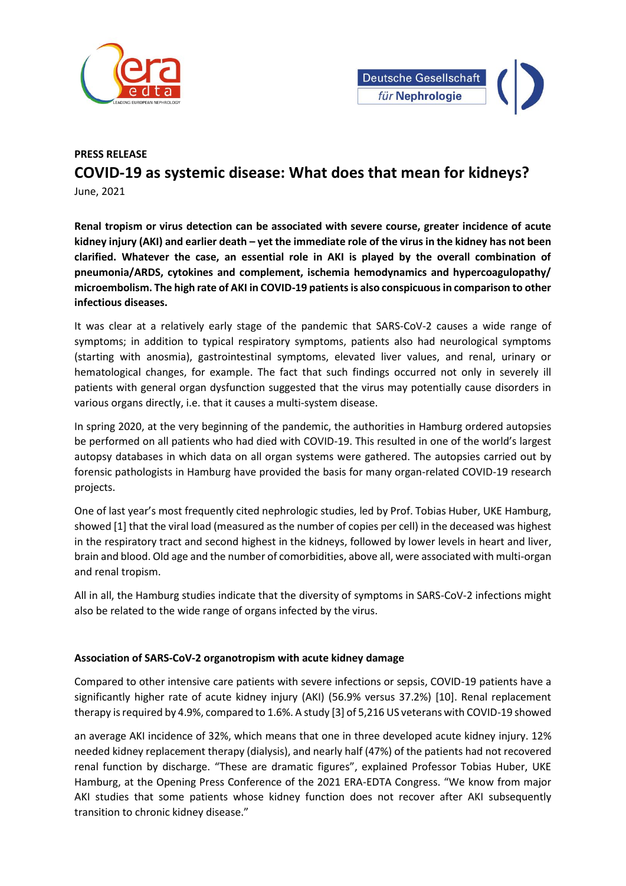



## **PRESS RELEASE COVID-19 as systemic disease: What does that mean for kidneys?**

June, 2021

**Renal tropism or virus detection can be associated with severe course, greater incidence of acute kidney injury (AKI) and earlier death – yet the immediate role of the virus in the kidney has not been clarified. Whatever the case, an essential role in AKI is played by the overall combination of pneumonia/ARDS, cytokines and complement, ischemia hemodynamics and hypercoagulopathy/ microembolism. The high rate of AKI in COVID-19 patients is also conspicuous in comparison to other infectious diseases.**

It was clear at a relatively early stage of the pandemic that SARS-CoV-2 causes a wide range of symptoms; in addition to typical respiratory symptoms, patients also had neurological symptoms (starting with anosmia), gastrointestinal symptoms, elevated liver values, and renal, urinary or hematological changes, for example. The fact that such findings occurred not only in severely ill patients with general organ dysfunction suggested that the virus may potentially cause disorders in various organs directly, i.e. that it causes a multi-system disease.

In spring 2020, at the very beginning of the pandemic, the authorities in Hamburg ordered autopsies be performed on all patients who had died with COVID-19. This resulted in one of the world's largest autopsy databases in which data on all organ systems were gathered. The autopsies carried out by forensic pathologists in Hamburg have provided the basis for many organ-related COVID-19 research projects.

One of last year's most frequently cited nephrologic studies, led by Prof. Tobias Huber, UKE Hamburg, showed [1] that the viral load (measured as the number of copies per cell) in the deceased was highest in the respiratory tract and second highest in the kidneys, followed by lower levels in heart and liver, brain and blood. Old age and the number of comorbidities, above all, were associated with multi-organ and renal tropism.

All in all, the Hamburg studies indicate that the diversity of symptoms in SARS-CoV-2 infections might also be related to the wide range of organs infected by the virus.

## **Association of SARS-CoV-2 organotropism with acute kidney damage**

Compared to other intensive care patients with severe infections or sepsis, COVID-19 patients have a significantly higher rate of acute kidney injury (AKI) (56.9% versus 37.2%) [10]. Renal replacement therapy is required by 4.9%, compared to 1.6%. A study [3] of 5,216 US veterans with COVID-19 showed

an average AKI incidence of 32%, which means that one in three developed acute kidney injury. 12% needed kidney replacement therapy (dialysis), and nearly half (47%) of the patients had not recovered renal function by discharge. "These are dramatic figures", explained Professor Tobias Huber, UKE Hamburg, at the Opening Press Conference of the 2021 ERA-EDTA Congress. "We know from major AKI studies that some patients whose kidney function does not recover after AKI subsequently transition to chronic kidney disease."